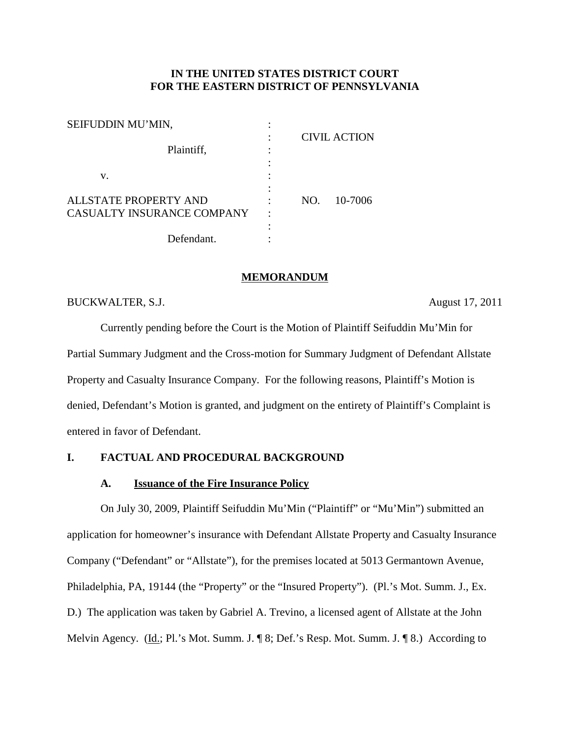## **IN THE UNITED STATES DISTRICT COURT FOR THE EASTERN DISTRICT OF PENNSYLVANIA**

| SEIFUDDIN MU'MIN,          |     |                     |
|----------------------------|-----|---------------------|
|                            |     | <b>CIVIL ACTION</b> |
| Plaintiff,                 |     |                     |
|                            |     |                     |
| v.                         |     |                     |
|                            |     |                     |
| ALL STATE PROPERTY AND     | NO. | 10-7006             |
| CASUALTY INSURANCE COMPANY |     |                     |
|                            |     |                     |
| Defendant.                 |     |                     |

### **MEMORANDUM**

# BUCKWALTER, S.J. August 17, 2011

Currently pending before the Court is the Motion of Plaintiff Seifuddin Mu'Min for Partial Summary Judgment and the Cross-motion for Summary Judgment of Defendant Allstate Property and Casualty Insurance Company. For the following reasons, Plaintiff's Motion is denied, Defendant's Motion is granted, and judgment on the entirety of Plaintiff's Complaint is entered in favor of Defendant.

# **I. FACTUAL AND PROCEDURAL BACKGROUND**

## **A. Issuance of the Fire Insurance Policy**

On July 30, 2009, Plaintiff Seifuddin Mu'Min ("Plaintiff" or "Mu'Min") submitted an application for homeowner's insurance with Defendant Allstate Property and Casualty Insurance Company ("Defendant" or "Allstate"), for the premises located at 5013 Germantown Avenue, Philadelphia, PA, 19144 (the "Property" or the "Insured Property"). (Pl.'s Mot. Summ. J., Ex. D.) The application was taken by Gabriel A. Trevino, a licensed agent of Allstate at the John Melvin Agency. (Id.; Pl.'s Mot. Summ. J. ¶ 8; Def.'s Resp. Mot. Summ. J. ¶ 8.) According to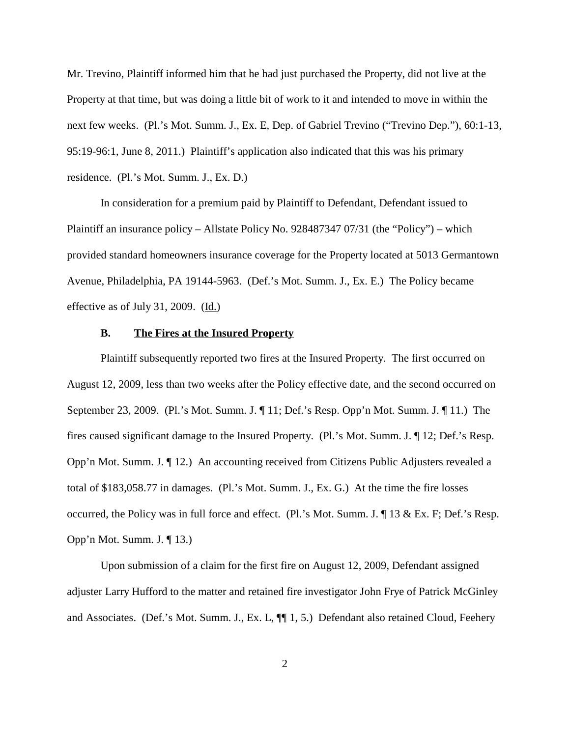Mr. Trevino, Plaintiff informed him that he had just purchased the Property, did not live at the Property at that time, but was doing a little bit of work to it and intended to move in within the next few weeks. (Pl.'s Mot. Summ. J., Ex. E, Dep. of Gabriel Trevino ("Trevino Dep."), 60:1-13, 95:19-96:1, June 8, 2011.) Plaintiff's application also indicated that this was his primary residence. (Pl.'s Mot. Summ. J., Ex. D.)

In consideration for a premium paid by Plaintiff to Defendant, Defendant issued to Plaintiff an insurance policy – Allstate Policy No. 928487347 07/31 (the "Policy") – which provided standard homeowners insurance coverage for the Property located at 5013 Germantown Avenue, Philadelphia, PA 19144-5963. (Def.'s Mot. Summ. J., Ex. E.) The Policy became effective as of July 31, 2009.  $(\underline{Id.})$ 

## **B. The Fires at the Insured Property**

Plaintiff subsequently reported two fires at the Insured Property. The first occurred on August 12, 2009, less than two weeks after the Policy effective date, and the second occurred on September 23, 2009. (Pl.'s Mot. Summ. J. ¶ 11; Def.'s Resp. Opp'n Mot. Summ. J. ¶ 11.) The fires caused significant damage to the Insured Property. (Pl.'s Mot. Summ. J. ¶ 12; Def.'s Resp. Opp'n Mot. Summ. J. ¶ 12.) An accounting received from Citizens Public Adjusters revealed a total of \$183,058.77 in damages. (Pl.'s Mot. Summ. J., Ex. G.) At the time the fire losses occurred, the Policy was in full force and effect. (Pl.'s Mot. Summ. J. ¶ 13 & Ex. F; Def.'s Resp. Opp'n Mot. Summ. J. ¶ 13.)

Upon submission of a claim for the first fire on August 12, 2009, Defendant assigned adjuster Larry Hufford to the matter and retained fire investigator John Frye of Patrick McGinley and Associates. (Def.'s Mot. Summ. J., Ex. L, ¶¶ 1, 5.) Defendant also retained Cloud, Feehery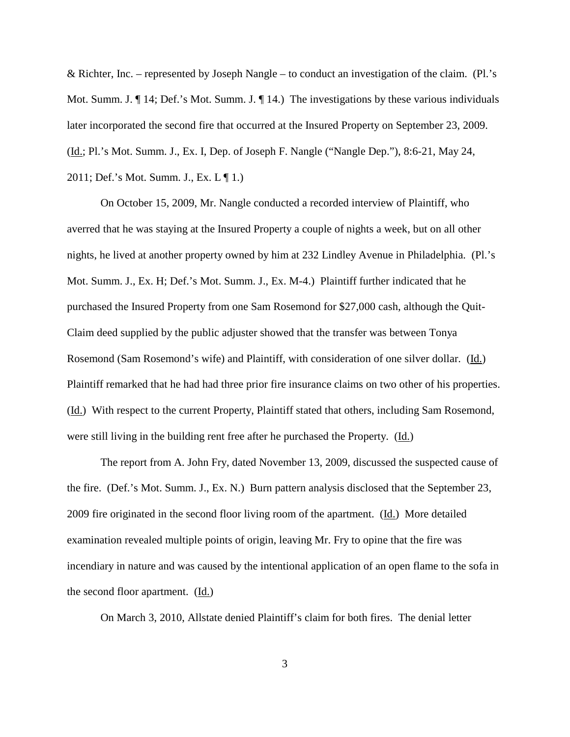& Richter, Inc. – represented by Joseph Nangle – to conduct an investigation of the claim. (Pl.'s Mot. Summ. J.  $\P$  14; Def.'s Mot. Summ. J.  $\P$  14.) The investigations by these various individuals later incorporated the second fire that occurred at the Insured Property on September 23, 2009. (Id.; Pl.'s Mot. Summ. J., Ex. I, Dep. of Joseph F. Nangle ("Nangle Dep."), 8:6-21, May 24, 2011; Def.'s Mot. Summ. J., Ex. L ¶ 1.)

On October 15, 2009, Mr. Nangle conducted a recorded interview of Plaintiff, who averred that he was staying at the Insured Property a couple of nights a week, but on all other nights, he lived at another property owned by him at 232 Lindley Avenue in Philadelphia. (Pl.'s Mot. Summ. J., Ex. H; Def.'s Mot. Summ. J., Ex. M-4.) Plaintiff further indicated that he purchased the Insured Property from one Sam Rosemond for \$27,000 cash, although the Quit-Claim deed supplied by the public adjuster showed that the transfer was between Tonya Rosemond (Sam Rosemond's wife) and Plaintiff, with consideration of one silver dollar. (Id.) Plaintiff remarked that he had had three prior fire insurance claims on two other of his properties. (Id.) With respect to the current Property, Plaintiff stated that others, including Sam Rosemond, were still living in the building rent free after he purchased the Property. (Id.)

The report from A. John Fry, dated November 13, 2009, discussed the suspected cause of the fire. (Def.'s Mot. Summ. J., Ex. N.) Burn pattern analysis disclosed that the September 23, 2009 fire originated in the second floor living room of the apartment. (Id.) More detailed examination revealed multiple points of origin, leaving Mr. Fry to opine that the fire was incendiary in nature and was caused by the intentional application of an open flame to the sofa in the second floor apartment.  $(\underline{Id.})$ 

On March 3, 2010, Allstate denied Plaintiff's claim for both fires. The denial letter

3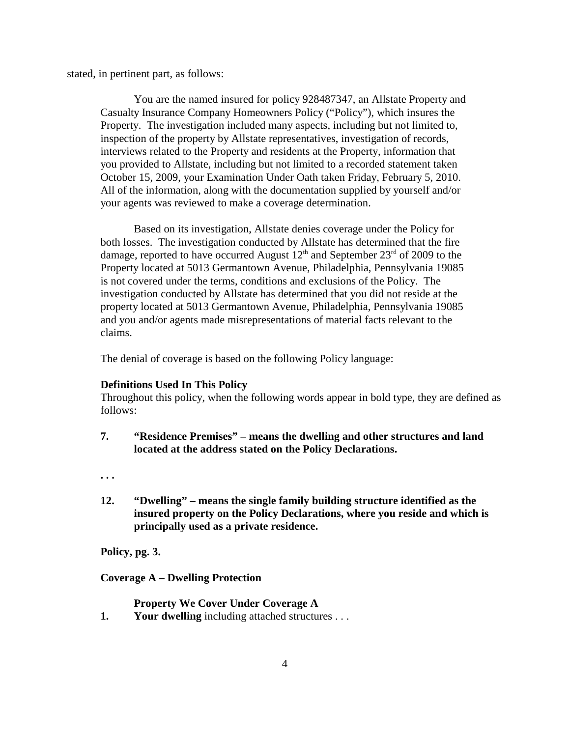stated, in pertinent part, as follows:

You are the named insured for policy 928487347, an Allstate Property and Casualty Insurance Company Homeowners Policy ("Policy"), which insures the Property. The investigation included many aspects, including but not limited to, inspection of the property by Allstate representatives, investigation of records, interviews related to the Property and residents at the Property, information that you provided to Allstate, including but not limited to a recorded statement taken October 15, 2009, your Examination Under Oath taken Friday, February 5, 2010. All of the information, along with the documentation supplied by yourself and/or your agents was reviewed to make a coverage determination.

Based on its investigation, Allstate denies coverage under the Policy for both losses. The investigation conducted by Allstate has determined that the fire damage, reported to have occurred August  $12<sup>th</sup>$  and September  $23<sup>rd</sup>$  of 2009 to the Property located at 5013 Germantown Avenue, Philadelphia, Pennsylvania 19085 is not covered under the terms, conditions and exclusions of the Policy. The investigation conducted by Allstate has determined that you did not reside at the property located at 5013 Germantown Avenue, Philadelphia, Pennsylvania 19085 and you and/or agents made misrepresentations of material facts relevant to the claims.

The denial of coverage is based on the following Policy language:

#### **Definitions Used In This Policy**

Throughout this policy, when the following words appear in bold type, they are defined as follows:

**7. "Residence Premises" – means the dwelling and other structures and land located at the address stated on the Policy Declarations.**

**. . .**

**12. "Dwelling" – means the single family building structure identified as the insured property on the Policy Declarations, where you reside and which is principally used as a private residence.**

**Policy, pg. 3.**

**Coverage A – Dwelling Protection**

**Property We Cover Under Coverage A**

**1. Your dwelling** including attached structures . . .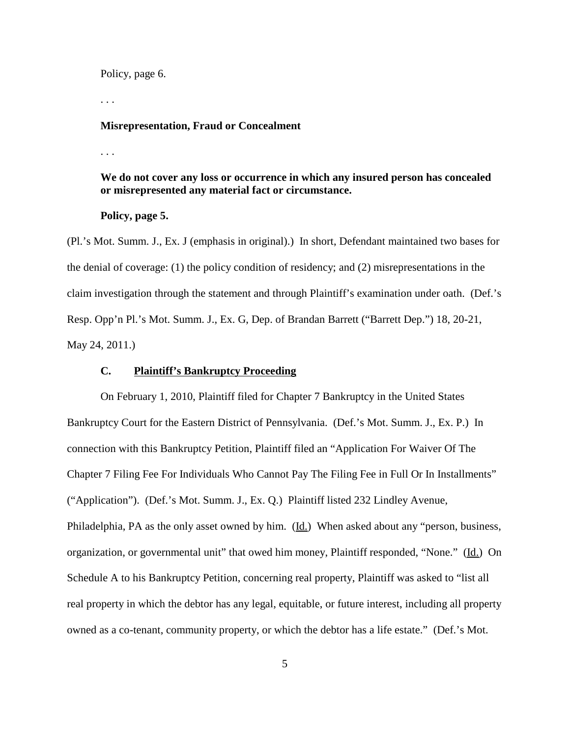Policy, page 6.

. . .

#### **Misrepresentation, Fraud or Concealment**

. . .

# **We do not cover any loss or occurrence in which any insured person has concealed or misrepresented any material fact or circumstance.**

### **Policy, page 5.**

(Pl.'s Mot. Summ. J., Ex. J (emphasis in original).) In short, Defendant maintained two bases for the denial of coverage: (1) the policy condition of residency; and (2) misrepresentations in the claim investigation through the statement and through Plaintiff's examination under oath. (Def.'s Resp. Opp'n Pl.'s Mot. Summ. J., Ex. G, Dep. of Brandan Barrett ("Barrett Dep.") 18, 20-21, May 24, 2011.)

## **C. Plaintiff's Bankruptcy Proceeding**

On February 1, 2010, Plaintiff filed for Chapter 7 Bankruptcy in the United States Bankruptcy Court for the Eastern District of Pennsylvania. (Def.'s Mot. Summ. J., Ex. P.) In connection with this Bankruptcy Petition, Plaintiff filed an "Application For Waiver Of The Chapter 7 Filing Fee For Individuals Who Cannot Pay The Filing Fee in Full Or In Installments" ("Application"). (Def.'s Mot. Summ. J., Ex. Q.) Plaintiff listed 232 Lindley Avenue, Philadelphia, PA as the only asset owned by him. (Id.) When asked about any "person, business, organization, or governmental unit" that owed him money, Plaintiff responded, "None." (Id.) On Schedule A to his Bankruptcy Petition, concerning real property, Plaintiff was asked to "list all real property in which the debtor has any legal, equitable, or future interest, including all property owned as a co-tenant, community property, or which the debtor has a life estate." (Def.'s Mot.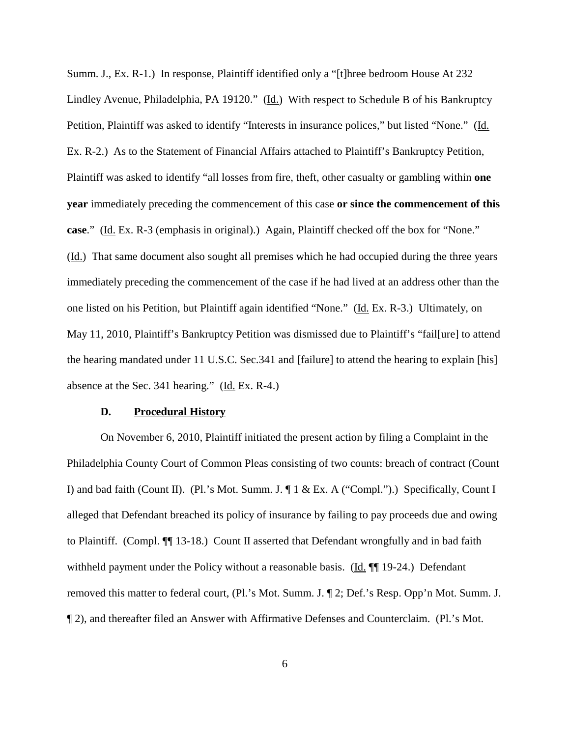Summ. J., Ex. R-1.) In response, Plaintiff identified only a "[t]hree bedroom House At 232 Lindley Avenue, Philadelphia, PA 19120." (Id.) With respect to Schedule B of his Bankruptcy Petition, Plaintiff was asked to identify "Interests in insurance polices," but listed "None." (Id. Ex. R-2.) As to the Statement of Financial Affairs attached to Plaintiff's Bankruptcy Petition, Plaintiff was asked to identify "all losses from fire, theft, other casualty or gambling within **one year** immediately preceding the commencement of this case **or since the commencement of this case**." (Id. Ex. R-3 (emphasis in original).) Again, Plaintiff checked off the box for "None." (Id.) That same document also sought all premises which he had occupied during the three years immediately preceding the commencement of the case if he had lived at an address other than the one listed on his Petition, but Plaintiff again identified "None." (Id. Ex. R-3.) Ultimately, on May 11, 2010, Plaintiff's Bankruptcy Petition was dismissed due to Plaintiff's "fail[ure] to attend the hearing mandated under 11 U.S.C. Sec.341 and [failure] to attend the hearing to explain [his] absence at the Sec. 341 hearing." (Id. Ex. R-4.)

#### **D. Procedural History**

On November 6, 2010, Plaintiff initiated the present action by filing a Complaint in the Philadelphia County Court of Common Pleas consisting of two counts: breach of contract (Count I) and bad faith (Count II). (Pl.'s Mot. Summ. J. ¶ 1 & Ex. A ("Compl.").) Specifically, Count I alleged that Defendant breached its policy of insurance by failing to pay proceeds due and owing to Plaintiff. (Compl. ¶¶ 13-18.) Count II asserted that Defendant wrongfully and in bad faith withheld payment under the Policy without a reasonable basis. ( $\underline{Id}$ .  $\P$ ] 19-24.) Defendant removed this matter to federal court, (Pl.'s Mot. Summ. J. ¶ 2; Def.'s Resp. Opp'n Mot. Summ. J. ¶ 2), and thereafter filed an Answer with Affirmative Defenses and Counterclaim. (Pl.'s Mot.

6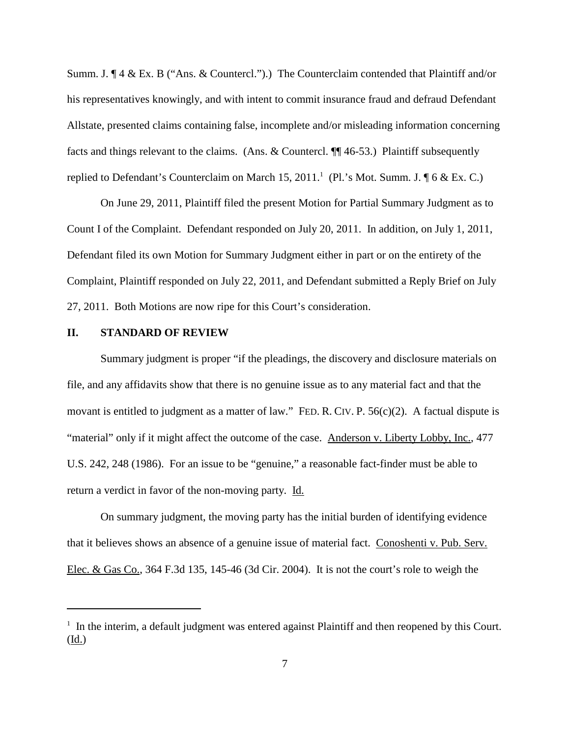Summ. J. ¶ 4 & Ex. B ("Ans. & Countercl.").) The Counterclaim contended that Plaintiff and/or his representatives knowingly, and with intent to commit insurance fraud and defraud Defendant Allstate, presented claims containing false, incomplete and/or misleading information concerning facts and things relevant to the claims. (Ans. & Countercl. ¶¶ 46-53.) Plaintiff subsequently replied to Defendant's Counterclaim on March 15, 2011.<sup>1</sup> (Pl.'s Mot. Summ. J. ¶ 6 & Ex. C.)

On June 29, 2011, Plaintiff filed the present Motion for Partial Summary Judgment as to Count I of the Complaint. Defendant responded on July 20, 2011. In addition, on July 1, 2011, Defendant filed its own Motion for Summary Judgment either in part or on the entirety of the Complaint, Plaintiff responded on July 22, 2011, and Defendant submitted a Reply Brief on July 27, 2011. Both Motions are now ripe for this Court's consideration.

## **II. STANDARD OF REVIEW**

Summary judgment is proper "if the pleadings, the discovery and disclosure materials on file, and any affidavits show that there is no genuine issue as to any material fact and that the movant is entitled to judgment as a matter of law." FED. R. CIV. P. 56(c)(2). A factual dispute is "material" only if it might affect the outcome of the case. Anderson v. Liberty Lobby, Inc., 477 U.S. 242, 248 (1986). For an issue to be "genuine," a reasonable fact-finder must be able to return a verdict in favor of the non-moving party. Id.

On summary judgment, the moving party has the initial burden of identifying evidence that it believes shows an absence of a genuine issue of material fact. Conoshenti v. Pub. Serv. Elec. & Gas Co., 364 F.3d 135, 145-46 (3d Cir. 2004). It is not the court's role to weigh the

<sup>&</sup>lt;sup>1</sup> In the interim, a default judgment was entered against Plaintiff and then reopened by this Court.  $(\underline{Id.})$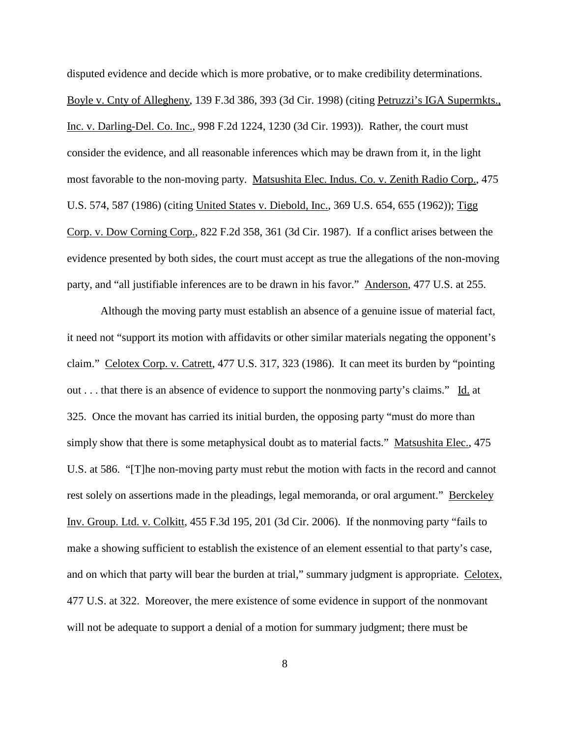disputed evidence and decide which is more probative, or to make credibility determinations. Boyle v. Cnty of Allegheny, 139 F.3d 386, 393 (3d Cir. 1998) (citing Petruzzi's IGA Supermkts., Inc. v. Darling-Del. Co. Inc., 998 F.2d 1224, 1230 (3d Cir. 1993)). Rather, the court must consider the evidence, and all reasonable inferences which may be drawn from it, in the light most favorable to the non-moving party. Matsushita Elec. Indus. Co. v. Zenith Radio Corp., 475 U.S. 574, 587 (1986) (citing United States v. Diebold, Inc., 369 U.S. 654, 655 (1962)); Tigg Corp. v. Dow Corning Corp., 822 F.2d 358, 361 (3d Cir. 1987). If a conflict arises between the evidence presented by both sides, the court must accept as true the allegations of the non-moving party, and "all justifiable inferences are to be drawn in his favor." Anderson, 477 U.S. at 255.

Although the moving party must establish an absence of a genuine issue of material fact, it need not "support its motion with affidavits or other similar materials negating the opponent's claim." Celotex Corp. v. Catrett, 477 U.S. 317, 323 (1986). It can meet its burden by "pointing out . . . that there is an absence of evidence to support the nonmoving party's claims." Id. at 325. Once the movant has carried its initial burden, the opposing party "must do more than simply show that there is some metaphysical doubt as to material facts." Matsushita Elec., 475 U.S. at 586. "[T]he non-moving party must rebut the motion with facts in the record and cannot rest solely on assertions made in the pleadings, legal memoranda, or oral argument." Berckeley Inv. Group. Ltd. v. Colkitt, 455 F.3d 195, 201 (3d Cir. 2006). If the nonmoving party "fails to make a showing sufficient to establish the existence of an element essential to that party's case, and on which that party will bear the burden at trial," summary judgment is appropriate. Celotex, 477 U.S. at 322. Moreover, the mere existence of some evidence in support of the nonmovant will not be adequate to support a denial of a motion for summary judgment; there must be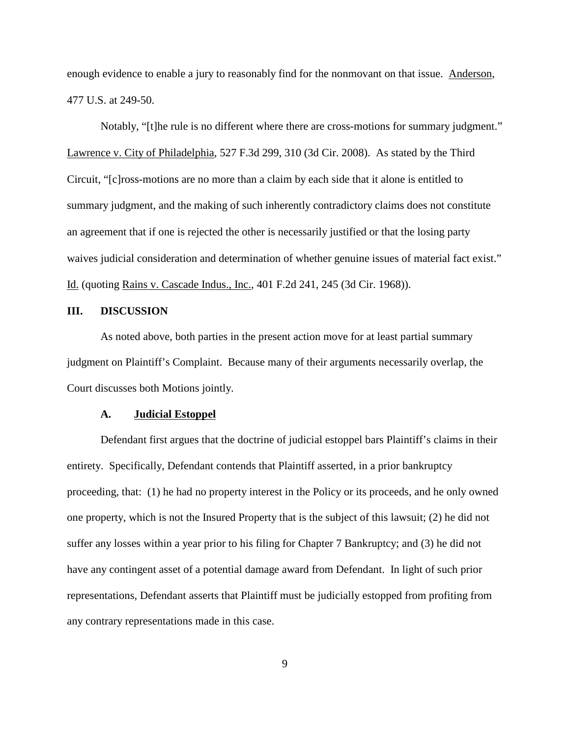enough evidence to enable a jury to reasonably find for the nonmovant on that issue. Anderson, 477 U.S. at 249-50.

Notably, "[t]he rule is no different where there are cross-motions for summary judgment." Lawrence v. City of Philadelphia, 527 F.3d 299, 310 (3d Cir. 2008). As stated by the Third Circuit, "[c]ross-motions are no more than a claim by each side that it alone is entitled to summary judgment, and the making of such inherently contradictory claims does not constitute an agreement that if one is rejected the other is necessarily justified or that the losing party waives judicial consideration and determination of whether genuine issues of material fact exist." Id. (quoting Rains v. Cascade Indus., Inc., 401 F.2d 241, 245 (3d Cir. 1968)).

## **III. DISCUSSION**

As noted above, both parties in the present action move for at least partial summary judgment on Plaintiff's Complaint. Because many of their arguments necessarily overlap, the Court discusses both Motions jointly.

#### **A. Judicial Estoppel**

Defendant first argues that the doctrine of judicial estoppel bars Plaintiff's claims in their entirety. Specifically, Defendant contends that Plaintiff asserted, in a prior bankruptcy proceeding, that: (1) he had no property interest in the Policy or its proceeds, and he only owned one property, which is not the Insured Property that is the subject of this lawsuit; (2) he did not suffer any losses within a year prior to his filing for Chapter 7 Bankruptcy; and (3) he did not have any contingent asset of a potential damage award from Defendant. In light of such prior representations, Defendant asserts that Plaintiff must be judicially estopped from profiting from any contrary representations made in this case.

9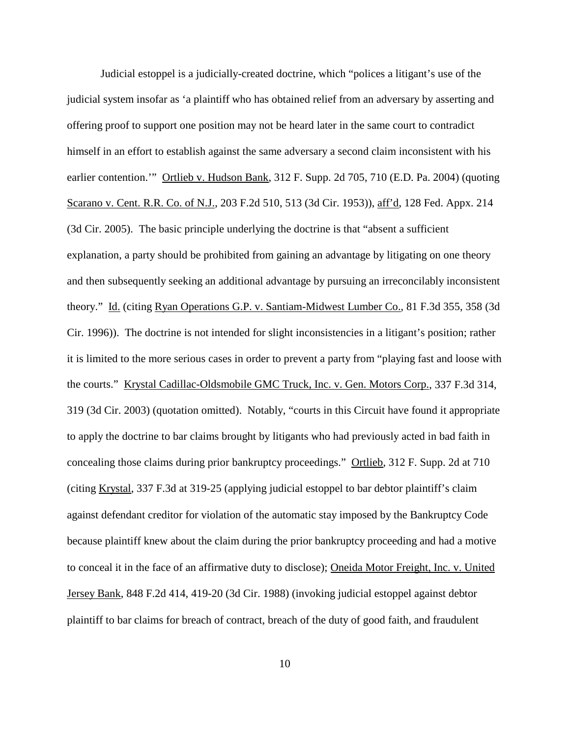Judicial estoppel is a judicially-created doctrine, which "polices a litigant's use of the judicial system insofar as 'a plaintiff who has obtained relief from an adversary by asserting and offering proof to support one position may not be heard later in the same court to contradict himself in an effort to establish against the same adversary a second claim inconsistent with his earlier contention." Ortlieb v. Hudson Bank, 312 F. Supp. 2d 705, 710 (E.D. Pa. 2004) (quoting Scarano v. Cent. R.R. Co. of N.J., 203 F.2d 510, 513 (3d Cir. 1953)), aff'd, 128 Fed. Appx. 214 (3d Cir. 2005). The basic principle underlying the doctrine is that "absent a sufficient explanation, a party should be prohibited from gaining an advantage by litigating on one theory and then subsequently seeking an additional advantage by pursuing an irreconcilably inconsistent theory." Id. (citing Ryan Operations G.P. v. Santiam-Midwest Lumber Co., 81 F.3d 355, 358 (3d Cir. 1996)). The doctrine is not intended for slight inconsistencies in a litigant's position; rather it is limited to the more serious cases in order to prevent a party from "playing fast and loose with the courts." Krystal Cadillac-Oldsmobile GMC Truck, Inc. v. Gen. Motors Corp., 337 F.3d 314, 319 (3d Cir. 2003) (quotation omitted). Notably, "courts in this Circuit have found it appropriate to apply the doctrine to bar claims brought by litigants who had previously acted in bad faith in concealing those claims during prior bankruptcy proceedings." Ortlieb, 312 F. Supp. 2d at 710 (citing Krystal, 337 F.3d at 319-25 (applying judicial estoppel to bar debtor plaintiff's claim against defendant creditor for violation of the automatic stay imposed by the Bankruptcy Code because plaintiff knew about the claim during the prior bankruptcy proceeding and had a motive to conceal it in the face of an affirmative duty to disclose); Oneida Motor Freight, Inc. v. United Jersey Bank, 848 F.2d 414, 419-20 (3d Cir. 1988) (invoking judicial estoppel against debtor plaintiff to bar claims for breach of contract, breach of the duty of good faith, and fraudulent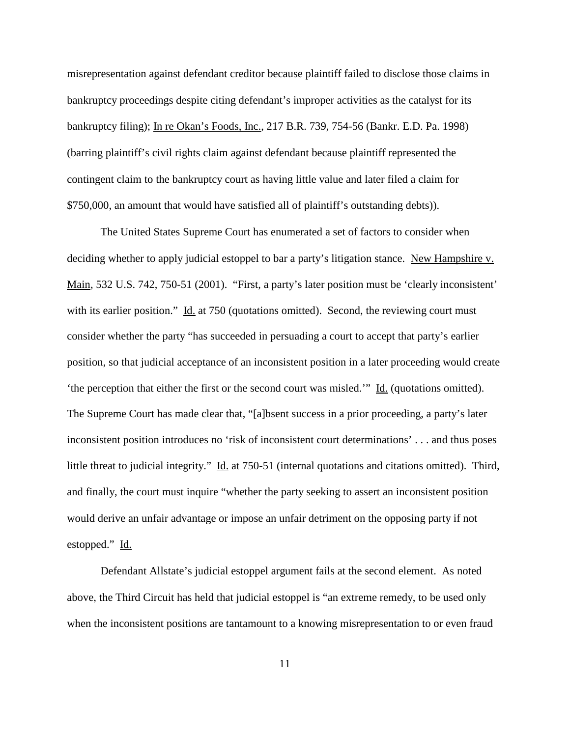misrepresentation against defendant creditor because plaintiff failed to disclose those claims in bankruptcy proceedings despite citing defendant's improper activities as the catalyst for its bankruptcy filing); In re Okan's Foods, Inc., 217 B.R. 739, 754-56 (Bankr. E.D. Pa. 1998) (barring plaintiff's civil rights claim against defendant because plaintiff represented the contingent claim to the bankruptcy court as having little value and later filed a claim for \$750,000, an amount that would have satisfied all of plaintiff's outstanding debts)).

The United States Supreme Court has enumerated a set of factors to consider when deciding whether to apply judicial estoppel to bar a party's litigation stance. New Hampshire v. Main, 532 U.S. 742, 750-51 (2001). "First, a party's later position must be 'clearly inconsistent' with its earlier position." Id. at 750 (quotations omitted). Second, the reviewing court must consider whether the party "has succeeded in persuading a court to accept that party's earlier position, so that judicial acceptance of an inconsistent position in a later proceeding would create 'the perception that either the first or the second court was misled.'" Id. (quotations omitted). The Supreme Court has made clear that, "[a]bsent success in a prior proceeding, a party's later inconsistent position introduces no 'risk of inconsistent court determinations' . . . and thus poses little threat to judicial integrity." Id. at 750-51 (internal quotations and citations omitted). Third, and finally, the court must inquire "whether the party seeking to assert an inconsistent position would derive an unfair advantage or impose an unfair detriment on the opposing party if not estopped." Id.

Defendant Allstate's judicial estoppel argument fails at the second element. As noted above, the Third Circuit has held that judicial estoppel is "an extreme remedy, to be used only when the inconsistent positions are tantamount to a knowing misrepresentation to or even fraud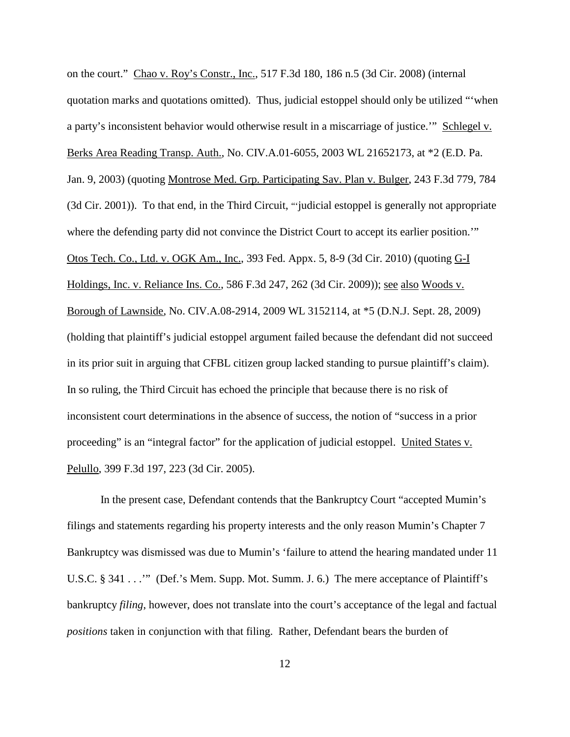on the court." Chao v. Roy's Constr., Inc., 517 F.3d 180, 186 n.5 (3d Cir. 2008) (internal quotation marks and quotations omitted). Thus, judicial estoppel should only be utilized "'when a party's inconsistent behavior would otherwise result in a miscarriage of justice.'" Schlegel v. Berks Area Reading Transp. Auth., No. CIV.A.01-6055, 2003 WL 21652173, at \*2 (E.D. Pa. Jan. 9, 2003) (quoting Montrose Med. Grp. Participating Sav. Plan v. Bulger, 243 F.3d 779, 784 (3d Cir. 2001)). To that end, in the Third Circuit, "'judicial estoppel is generally not appropriate where the defending party did not convince the District Court to accept its earlier position." Otos Tech. Co., Ltd. v. OGK Am., Inc., 393 Fed. Appx. 5, 8-9 (3d Cir. 2010) (quoting G-I Holdings, Inc. v. Reliance Ins. Co., 586 F.3d 247, 262 (3d Cir. 2009)); see also Woods v. Borough of Lawnside, No. CIV.A.08-2914, 2009 WL 3152114, at \*5 (D.N.J. Sept. 28, 2009) (holding that plaintiff's judicial estoppel argument failed because the defendant did not succeed in its prior suit in arguing that CFBL citizen group lacked standing to pursue plaintiff's claim). In so ruling, the Third Circuit has echoed the principle that because there is no risk of inconsistent court determinations in the absence of success, the notion of "success in a prior proceeding" is an "integral factor" for the application of judicial estoppel. United States v. Pelullo, 399 F.3d 197, 223 (3d Cir. 2005).

In the present case, Defendant contends that the Bankruptcy Court "accepted Mumin's filings and statements regarding his property interests and the only reason Mumin's Chapter 7 Bankruptcy was dismissed was due to Mumin's 'failure to attend the hearing mandated under 11 U.S.C. § 341 . . .'" (Def.'s Mem. Supp. Mot. Summ. J. 6.) The mere acceptance of Plaintiff's bankruptcy *filing*, however, does not translate into the court's acceptance of the legal and factual *positions* taken in conjunction with that filing. Rather, Defendant bears the burden of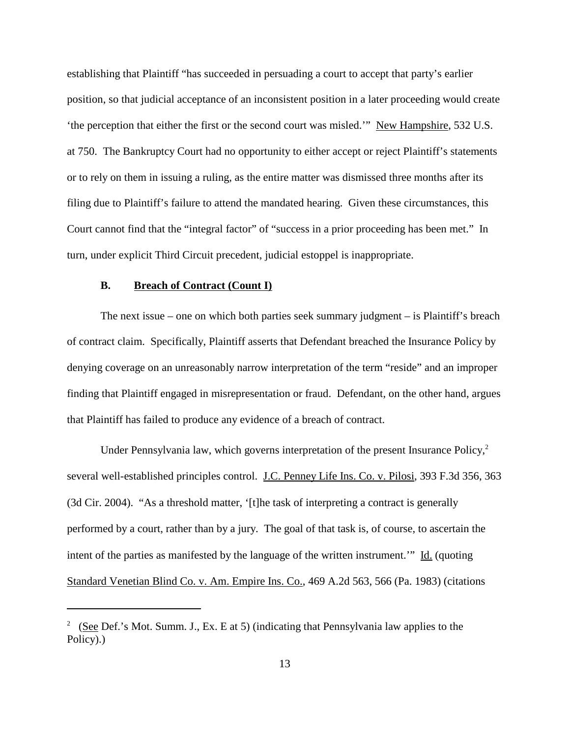establishing that Plaintiff "has succeeded in persuading a court to accept that party's earlier position, so that judicial acceptance of an inconsistent position in a later proceeding would create 'the perception that either the first or the second court was misled.'" New Hampshire, 532 U.S. at 750. The Bankruptcy Court had no opportunity to either accept or reject Plaintiff's statements or to rely on them in issuing a ruling, as the entire matter was dismissed three months after its filing due to Plaintiff's failure to attend the mandated hearing. Given these circumstances, this Court cannot find that the "integral factor" of "success in a prior proceeding has been met." In turn, under explicit Third Circuit precedent, judicial estoppel is inappropriate.

## **B. Breach of Contract (Count I)**

The next issue – one on which both parties seek summary judgment – is Plaintiff's breach of contract claim. Specifically, Plaintiff asserts that Defendant breached the Insurance Policy by denying coverage on an unreasonably narrow interpretation of the term "reside" and an improper finding that Plaintiff engaged in misrepresentation or fraud. Defendant, on the other hand, argues that Plaintiff has failed to produce any evidence of a breach of contract.

Under Pennsylvania law, which governs interpretation of the present Insurance Policy,<sup>2</sup> several well-established principles control. J.C. Penney Life Ins. Co. v. Pilosi, 393 F.3d 356, 363 (3d Cir. 2004). "As a threshold matter, '[t]he task of interpreting a contract is generally performed by a court, rather than by a jury. The goal of that task is, of course, to ascertain the intent of the parties as manifested by the language of the written instrument.'" Id. (quoting Standard Venetian Blind Co. v. Am. Empire Ins. Co., 469 A.2d 563, 566 (Pa. 1983) (citations

<sup>&</sup>lt;sup>2</sup> (See Def.'s Mot. Summ. J., Ex. E at 5) (indicating that Pennsylvania law applies to the Policy).)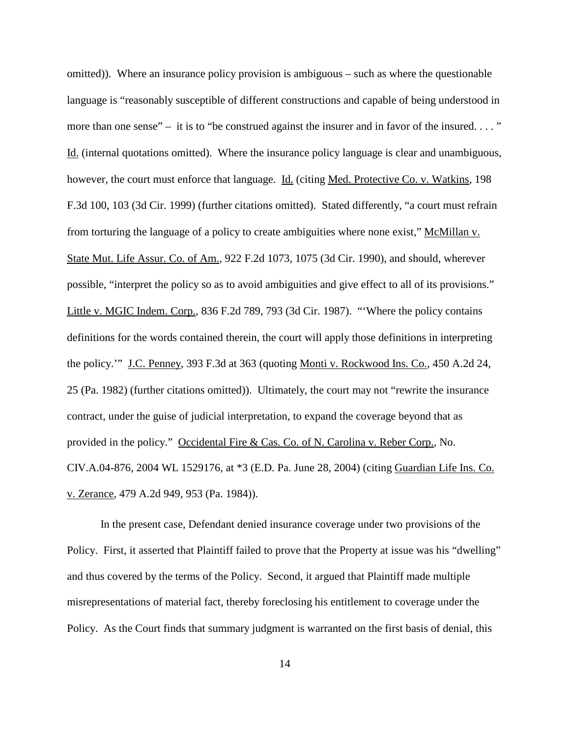omitted)). Where an insurance policy provision is ambiguous – such as where the questionable language is "reasonably susceptible of different constructions and capable of being understood in more than one sense" – it is to "be construed against the insurer and in favor of the insured...." Id. (internal quotations omitted). Where the insurance policy language is clear and unambiguous, however, the court must enforce that language. Id. (citing Med. Protective Co. v. Watkins, 198 F.3d 100, 103 (3d Cir. 1999) (further citations omitted). Stated differently, "a court must refrain from torturing the language of a policy to create ambiguities where none exist," McMillan v. State Mut. Life Assur. Co. of Am., 922 F.2d 1073, 1075 (3d Cir. 1990), and should, wherever possible, "interpret the policy so as to avoid ambiguities and give effect to all of its provisions." Little v. MGIC Indem. Corp., 836 F.2d 789, 793 (3d Cir. 1987). "'Where the policy contains definitions for the words contained therein, the court will apply those definitions in interpreting the policy.'" J.C. Penney, 393 F.3d at 363 (quoting Monti v. Rockwood Ins. Co.*,* 450 A.2d 24, 25 (Pa. 1982) (further citations omitted)). Ultimately, the court may not "rewrite the insurance contract, under the guise of judicial interpretation, to expand the coverage beyond that as provided in the policy." Occidental Fire & Cas. Co. of N. Carolina v. Reber Corp., No. CIV.A.04-876, 2004 WL 1529176, at \*3 (E.D. Pa. June 28, 2004) (citing Guardian Life Ins. Co. v. Zerance, 479 A.2d 949, 953 (Pa. 1984)).

In the present case, Defendant denied insurance coverage under two provisions of the Policy. First, it asserted that Plaintiff failed to prove that the Property at issue was his "dwelling" and thus covered by the terms of the Policy. Second, it argued that Plaintiff made multiple misrepresentations of material fact, thereby foreclosing his entitlement to coverage under the Policy. As the Court finds that summary judgment is warranted on the first basis of denial, this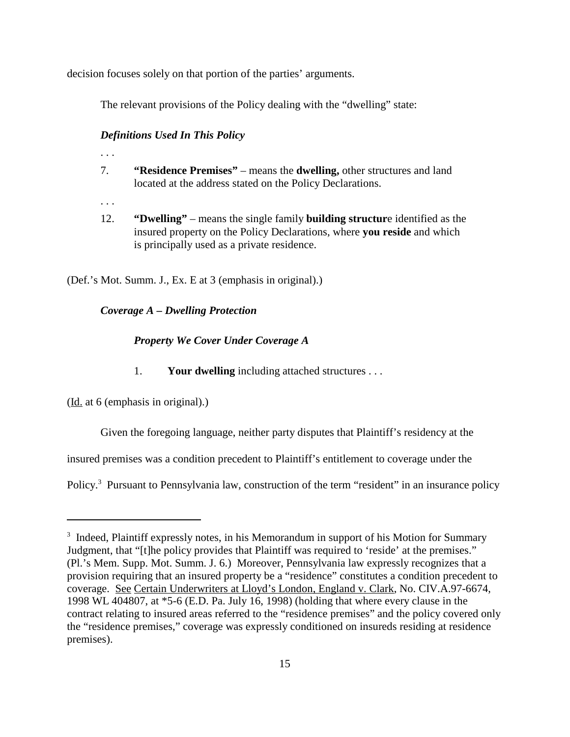decision focuses solely on that portion of the parties' arguments.

The relevant provisions of the Policy dealing with the "dwelling" state:

## *Definitions Used In This Policy*

- . . .
- 7. **"Residence Premises"** means the **dwelling,** other structures and land located at the address stated on the Policy Declarations.
- . . .
- 12. **"Dwelling"** means the single family **building structur**e identified as the insured property on the Policy Declarations, where **you reside** and which is principally used as a private residence.

(Def.'s Mot. Summ. J., Ex. E at 3 (emphasis in original).)

# *Coverage A – Dwelling Protection*

## *Property We Cover Under Coverage A*

1. **Your dwelling** including attached structures . . .

(Id. at 6 (emphasis in original).)

Given the foregoing language, neither party disputes that Plaintiff's residency at the

insured premises was a condition precedent to Plaintiff's entitlement to coverage under the

Policy.<sup>3</sup> Pursuant to Pennsylvania law, construction of the term "resident" in an insurance policy

<sup>&</sup>lt;sup>3</sup> Indeed, Plaintiff expressly notes, in his Memorandum in support of his Motion for Summary Judgment, that "[t]he policy provides that Plaintiff was required to 'reside' at the premises." (Pl.'s Mem. Supp. Mot. Summ. J. 6.) Moreover, Pennsylvania law expressly recognizes that a provision requiring that an insured property be a "residence" constitutes a condition precedent to coverage. See Certain Underwriters at Lloyd's London, England v. Clark, No. CIV.A.97-6674, 1998 WL 404807, at \*5-6 (E.D. Pa. July 16, 1998) (holding that where every clause in the contract relating to insured areas referred to the "residence premises" and the policy covered only the "residence premises," coverage was expressly conditioned on insureds residing at residence premises).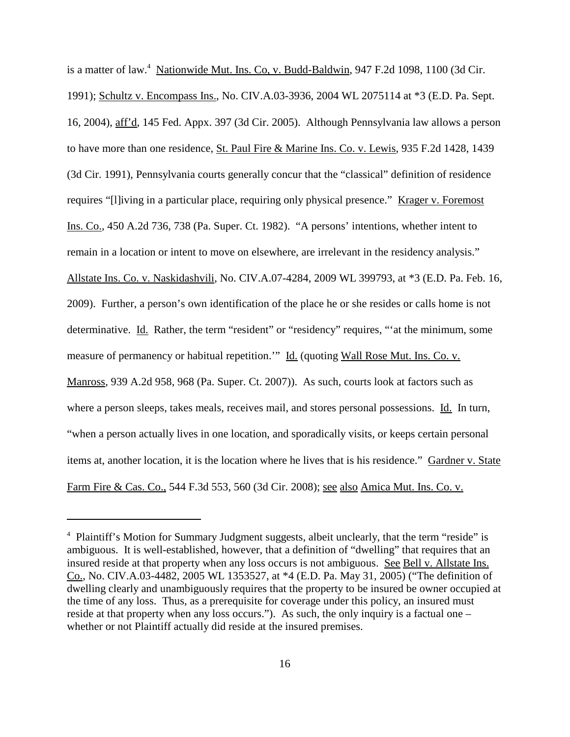is a matter of law.<sup>4</sup> Nationwide Mut. Ins. Co, v. Budd-Baldwin, 947 F.2d 1098, 1100 (3d Cir. 1991); Schultz v. Encompass Ins., No. CIV.A.03-3936, 2004 WL 2075114 at \*3 (E.D. Pa. Sept. 16, 2004), aff'd, 145 Fed. Appx. 397 (3d Cir. 2005). Although Pennsylvania law allows a person to have more than one residence, St. Paul Fire & Marine Ins. Co. v. Lewis, 935 F.2d 1428, 1439 (3d Cir. 1991), Pennsylvania courts generally concur that the "classical" definition of residence requires "[l]iving in a particular place, requiring only physical presence." Krager v. Foremost Ins. Co., 450 A.2d 736, 738 (Pa. Super. Ct. 1982). "A persons' intentions, whether intent to remain in a location or intent to move on elsewhere, are irrelevant in the residency analysis." Allstate Ins. Co. v. Naskidashvili, No. CIV.A.07-4284, 2009 WL 399793, at \*3 (E.D. Pa. Feb. 16, 2009). Further, a person's own identification of the place he or she resides or calls home is not determinative. Id. Rather, the term "resident" or "residency" requires, "'at the minimum, some measure of permanency or habitual repetition." Id. (quoting Wall Rose Mut. Ins. Co. v. Manross, 939 A.2d 958, 968 (Pa. Super. Ct. 2007)). As such, courts look at factors such as where a person sleeps, takes meals, receives mail, and stores personal possessions. Id. In turn, "when a person actually lives in one location, and sporadically visits, or keeps certain personal items at, another location, it is the location where he lives that is his residence." Gardner v. State Farm Fire & Cas. Co., 544 F.3d 553, 560 (3d Cir. 2008); see also Amica Mut. Ins. Co. v.

<sup>&</sup>lt;sup>4</sup> Plaintiff's Motion for Summary Judgment suggests, albeit unclearly, that the term "reside" is ambiguous. It is well-established, however, that a definition of "dwelling" that requires that an insured reside at that property when any loss occurs is not ambiguous. See Bell v. Allstate Ins. Co., No. CIV.A.03-4482, 2005 WL 1353527, at \*4 (E.D. Pa. May 31, 2005) ("The definition of dwelling clearly and unambiguously requires that the property to be insured be owner occupied at the time of any loss. Thus, as a prerequisite for coverage under this policy, an insured must reside at that property when any loss occurs."). As such, the only inquiry is a factual one – whether or not Plaintiff actually did reside at the insured premises.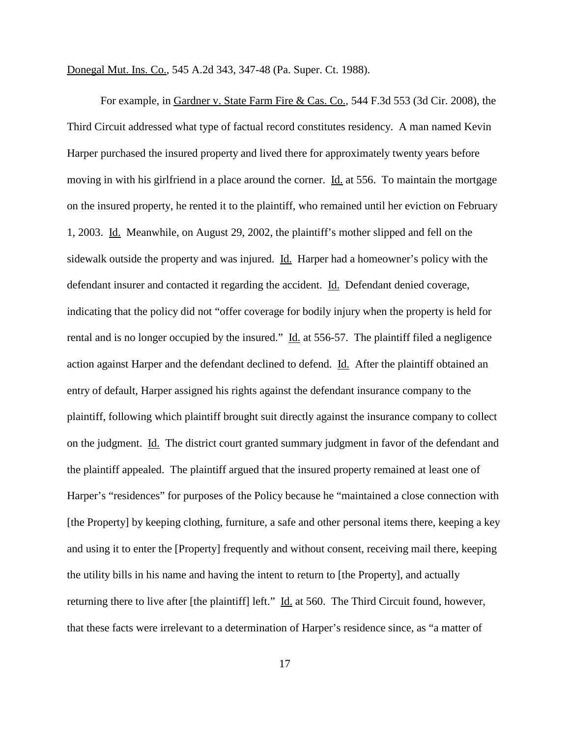Donegal Mut. Ins. Co., 545 A.2d 343, 347-48 (Pa. Super. Ct. 1988).

For example, in Gardner v. State Farm Fire & Cas. Co., 544 F.3d 553 (3d Cir. 2008), the Third Circuit addressed what type of factual record constitutes residency. A man named Kevin Harper purchased the insured property and lived there for approximately twenty years before moving in with his girlfriend in a place around the corner. Id. at 556. To maintain the mortgage on the insured property, he rented it to the plaintiff, who remained until her eviction on February 1, 2003. Id. Meanwhile, on August 29, 2002, the plaintiff's mother slipped and fell on the sidewalk outside the property and was injured. Id. Harper had a homeowner's policy with the defendant insurer and contacted it regarding the accident. Id. Defendant denied coverage, indicating that the policy did not "offer coverage for bodily injury when the property is held for rental and is no longer occupied by the insured." Id. at 556-57. The plaintiff filed a negligence action against Harper and the defendant declined to defend. Id. After the plaintiff obtained an entry of default, Harper assigned his rights against the defendant insurance company to the plaintiff, following which plaintiff brought suit directly against the insurance company to collect on the judgment. Id. The district court granted summary judgment in favor of the defendant and the plaintiff appealed. The plaintiff argued that the insured property remained at least one of Harper's "residences" for purposes of the Policy because he "maintained a close connection with [the Property] by keeping clothing, furniture, a safe and other personal items there, keeping a key and using it to enter the [Property] frequently and without consent, receiving mail there, keeping the utility bills in his name and having the intent to return to [the Property], and actually returning there to live after [the plaintiff] left." Id. at 560. The Third Circuit found, however, that these facts were irrelevant to a determination of Harper's residence since, as "a matter of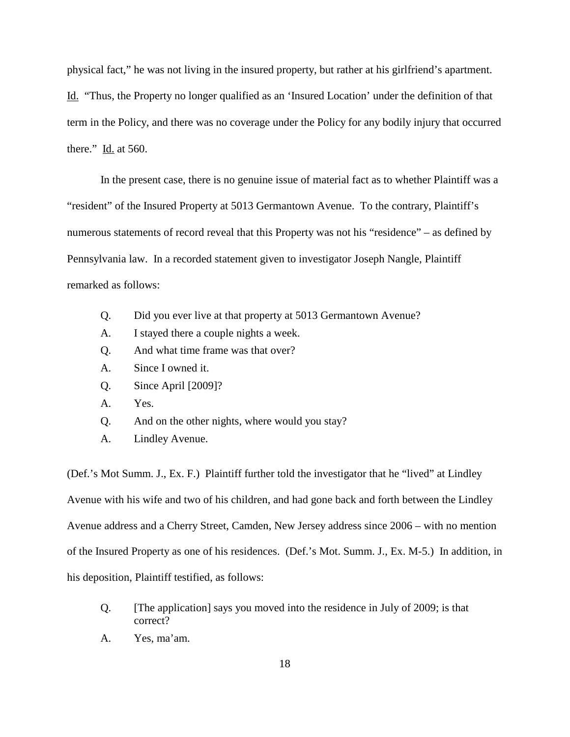physical fact," he was not living in the insured property, but rather at his girlfriend's apartment. Id. "Thus, the Property no longer qualified as an 'Insured Location' under the definition of that term in the Policy, and there was no coverage under the Policy for any bodily injury that occurred there."  $\underline{Id}$  at 560.

In the present case, there is no genuine issue of material fact as to whether Plaintiff was a "resident" of the Insured Property at 5013 Germantown Avenue. To the contrary, Plaintiff's numerous statements of record reveal that this Property was not his "residence" – as defined by Pennsylvania law. In a recorded statement given to investigator Joseph Nangle, Plaintiff remarked as follows:

- Q. Did you ever live at that property at 5013 Germantown Avenue?
- A. I stayed there a couple nights a week.
- Q. And what time frame was that over?
- A. Since I owned it.
- Q. Since April [2009]?
- A. Yes.
- Q. And on the other nights, where would you stay?
- A. Lindley Avenue.

(Def.'s Mot Summ. J., Ex. F.) Plaintiff further told the investigator that he "lived" at Lindley Avenue with his wife and two of his children, and had gone back and forth between the Lindley Avenue address and a Cherry Street, Camden, New Jersey address since 2006 – with no mention of the Insured Property as one of his residences. (Def.'s Mot. Summ. J., Ex. M-5.) In addition, in his deposition, Plaintiff testified, as follows:

- Q. [The application] says you moved into the residence in July of 2009; is that correct?
- A. Yes, ma'am.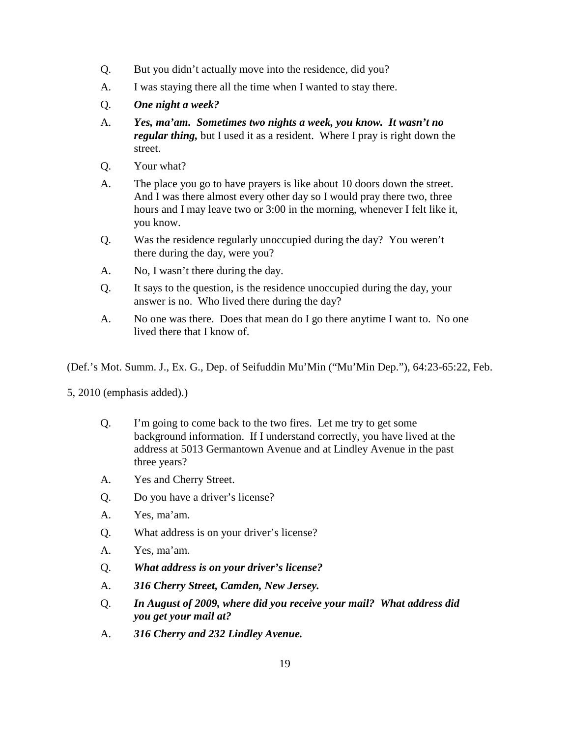- Q. But you didn't actually move into the residence, did you?
- A. I was staying there all the time when I wanted to stay there.
- Q. *One night a week?*
- A. *Yes, ma'am. Sometimes two nights a week, you know. It wasn't no regular thing,* but I used it as a resident. Where I pray is right down the street.
- Q. Your what?
- A. The place you go to have prayers is like about 10 doors down the street. And I was there almost every other day so I would pray there two, three hours and I may leave two or 3:00 in the morning, whenever I felt like it, you know.
- Q. Was the residence regularly unoccupied during the day? You weren't there during the day, were you?
- A. No, I wasn't there during the day.
- Q. It says to the question, is the residence unoccupied during the day, your answer is no. Who lived there during the day?
- A. No one was there. Does that mean do I go there anytime I want to. No one lived there that I know of.

(Def.'s Mot. Summ. J., Ex. G., Dep. of Seifuddin Mu'Min ("Mu'Min Dep."), 64:23-65:22, Feb.

5, 2010 (emphasis added).)

- Q. I'm going to come back to the two fires. Let me try to get some background information. If I understand correctly, you have lived at the address at 5013 Germantown Avenue and at Lindley Avenue in the past three years?
- A. Yes and Cherry Street.
- Q. Do you have a driver's license?
- A. Yes, ma'am.
- Q. What address is on your driver's license?
- A. Yes, ma'am.
- Q. *What address is on your driver's license?*
- A. *316 Cherry Street, Camden, New Jersey.*
- Q. *In August of 2009, where did you receive your mail? What address did you get your mail at?*
- A. *316 Cherry and 232 Lindley Avenue.*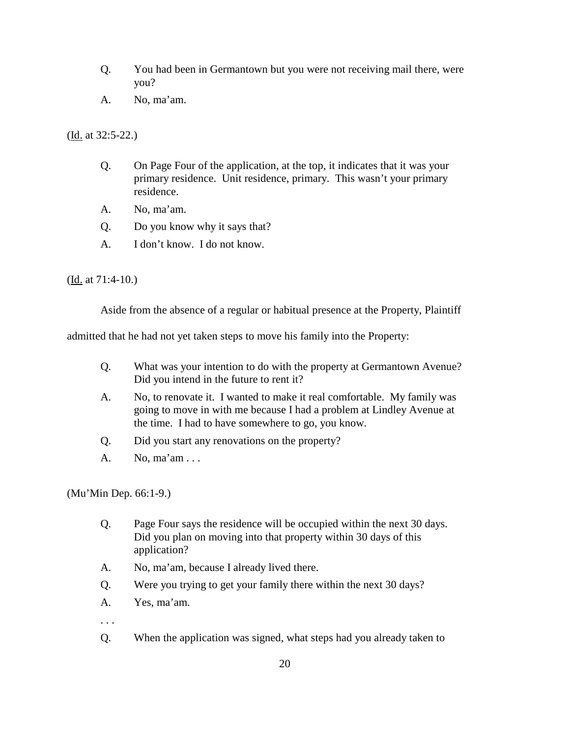- Q. You had been in Germantown but you were not receiving mail there, were you?
- A. No, ma'am.

(Id. at 32:5-22.)

- Q. On Page Four of the application, at the top, it indicates that it was your primary residence. Unit residence, primary. This wasn't your primary residence.
- A. No, ma'am.
- Q. Do you know why it says that?
- A. I don't know. I do not know.

(Id. at 71:4-10.)

Aside from the absence of a regular or habitual presence at the Property, Plaintiff

admitted that he had not yet taken steps to move his family into the Property:

- Q. What was your intention to do with the property at Germantown Avenue? Did you intend in the future to rent it?
- A. No, to renovate it. I wanted to make it real comfortable. My family was going to move in with me because I had a problem at Lindley Avenue at the time. I had to have somewhere to go, you know.
- Q. Did you start any renovations on the property?
- A. No, ma'am . . .

(Mu'Min Dep. 66:1-9.)

- Q. Page Four says the residence will be occupied within the next 30 days. Did you plan on moving into that property within 30 days of this application?
- A. No, ma'am, because I already lived there.
- Q. Were you trying to get your family there within the next 30 days?
- A. Yes, ma'am.
- . . .
- Q. When the application was signed, what steps had you already taken to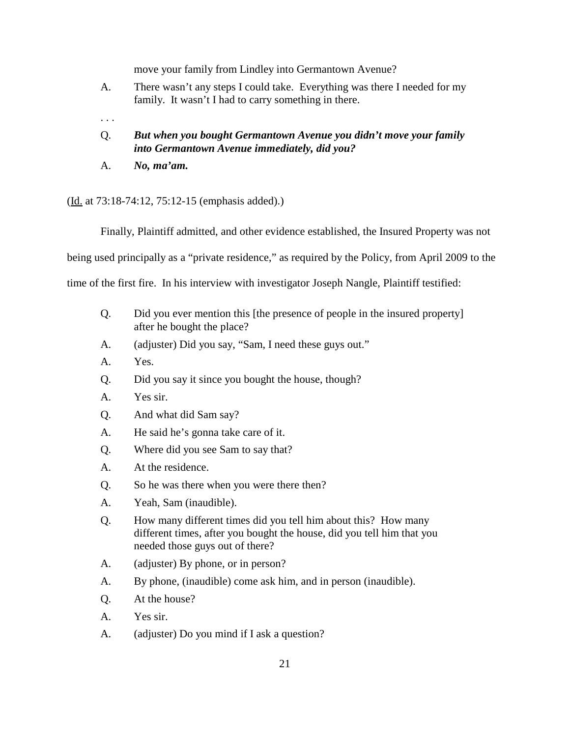move your family from Lindley into Germantown Avenue?

- A. There wasn't any steps I could take. Everything was there I needed for my family. It wasn't I had to carry something in there.
- . . .

# Q. *But when you bought Germantown Avenue you didn't move your family into Germantown Avenue immediately, did you?*

A. *No, ma'am.*

(Id. at 73:18-74:12, 75:12-15 (emphasis added).)

Finally, Plaintiff admitted, and other evidence established, the Insured Property was not

being used principally as a "private residence," as required by the Policy, from April 2009 to the

time of the first fire. In his interview with investigator Joseph Nangle, Plaintiff testified:

- Q. Did you ever mention this [the presence of people in the insured property] after he bought the place?
- A. (adjuster) Did you say, "Sam, I need these guys out."
- A. Yes.
- Q. Did you say it since you bought the house, though?
- A. Yes sir.
- Q. And what did Sam say?
- A. He said he's gonna take care of it.
- Q. Where did you see Sam to say that?
- A. At the residence.
- Q. So he was there when you were there then?
- A. Yeah, Sam (inaudible).
- Q. How many different times did you tell him about this? How many different times, after you bought the house, did you tell him that you needed those guys out of there?
- A. (adjuster) By phone, or in person?
- A. By phone, (inaudible) come ask him, and in person (inaudible).
- Q. At the house?
- A. Yes sir.
- A. (adjuster) Do you mind if I ask a question?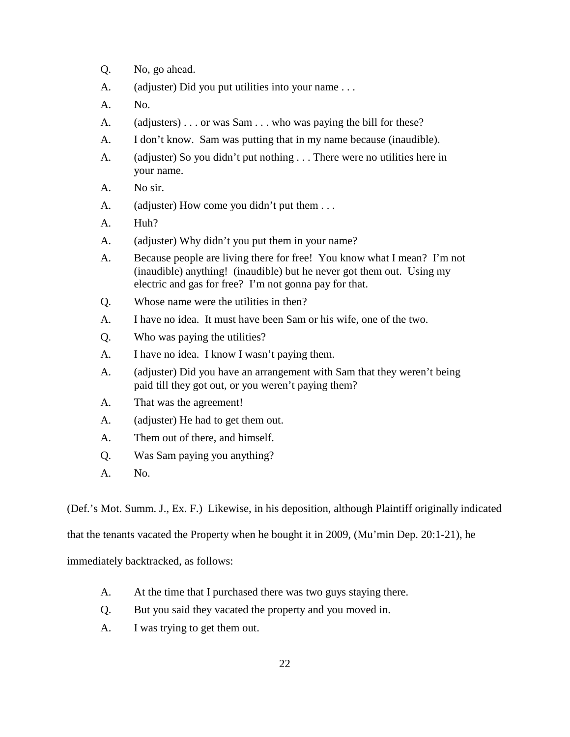- Q. No, go ahead.
- A. (adjuster) Did you put utilities into your name . . .
- A. No.
- A. (adjusters) . . . or was Sam . . . who was paying the bill for these?
- A. I don't know. Sam was putting that in my name because (inaudible).
- A. (adjuster) So you didn't put nothing . . . There were no utilities here in your name.
- A. No sir.
- A. (adjuster) How come you didn't put them ...
- A. Huh?
- A. (adjuster) Why didn't you put them in your name?
- A. Because people are living there for free! You know what I mean? I'm not (inaudible) anything! (inaudible) but he never got them out. Using my electric and gas for free? I'm not gonna pay for that.
- Q. Whose name were the utilities in then?
- A. I have no idea. It must have been Sam or his wife, one of the two.
- Q. Who was paying the utilities?
- A. I have no idea. I know I wasn't paying them.
- A. (adjuster) Did you have an arrangement with Sam that they weren't being paid till they got out, or you weren't paying them?
- A. That was the agreement!
- A. (adjuster) He had to get them out.
- A. Them out of there, and himself.
- Q. Was Sam paying you anything?
- A. No.

(Def.'s Mot. Summ. J., Ex. F.) Likewise, in his deposition, although Plaintiff originally indicated

that the tenants vacated the Property when he bought it in 2009, (Mu'min Dep. 20:1-21), he

immediately backtracked, as follows:

- A. At the time that I purchased there was two guys staying there.
- Q. But you said they vacated the property and you moved in.
- A. I was trying to get them out.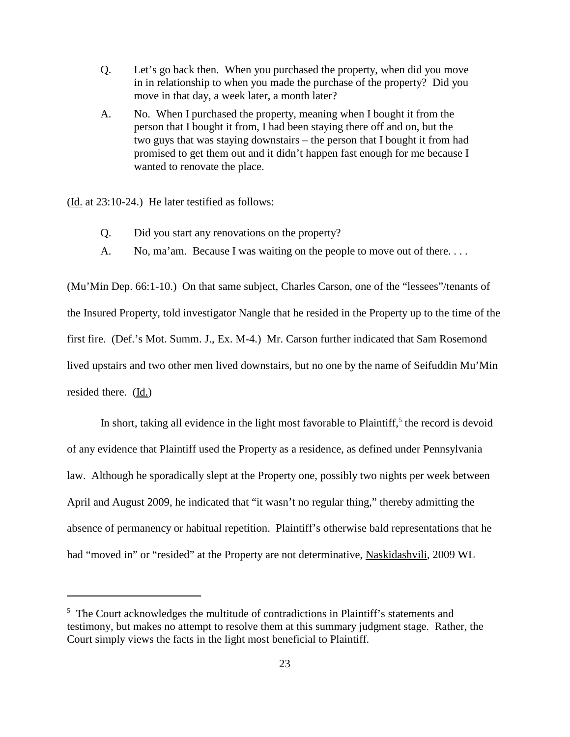- Q. Let's go back then. When you purchased the property, when did you move in in relationship to when you made the purchase of the property? Did you move in that day, a week later, a month later?
- A. No. When I purchased the property, meaning when I bought it from the person that I bought it from, I had been staying there off and on, but the two guys that was staying downstairs – the person that I bought it from had promised to get them out and it didn't happen fast enough for me because I wanted to renovate the place.

(Id. at 23:10-24.) He later testified as follows:

- Q. Did you start any renovations on the property?
- A. No, ma'am. Because I was waiting on the people to move out of there...

(Mu'Min Dep. 66:1-10.) On that same subject, Charles Carson, one of the "lessees"/tenants of the Insured Property, told investigator Nangle that he resided in the Property up to the time of the first fire. (Def.'s Mot. Summ. J., Ex. M-4.) Mr. Carson further indicated that Sam Rosemond lived upstairs and two other men lived downstairs, but no one by the name of Seifuddin Mu'Min resided there. (Id.)

In short, taking all evidence in the light most favorable to Plaintiff,<sup>5</sup> the record is devoid of any evidence that Plaintiff used the Property as a residence, as defined under Pennsylvania law. Although he sporadically slept at the Property one, possibly two nights per week between April and August 2009, he indicated that "it wasn't no regular thing," thereby admitting the absence of permanency or habitual repetition. Plaintiff's otherwise bald representations that he had "moved in" or "resided" at the Property are not determinative, Naskidashvili, 2009 WL

<sup>&</sup>lt;sup>5</sup> The Court acknowledges the multitude of contradictions in Plaintiff's statements and testimony, but makes no attempt to resolve them at this summary judgment stage. Rather, the Court simply views the facts in the light most beneficial to Plaintiff.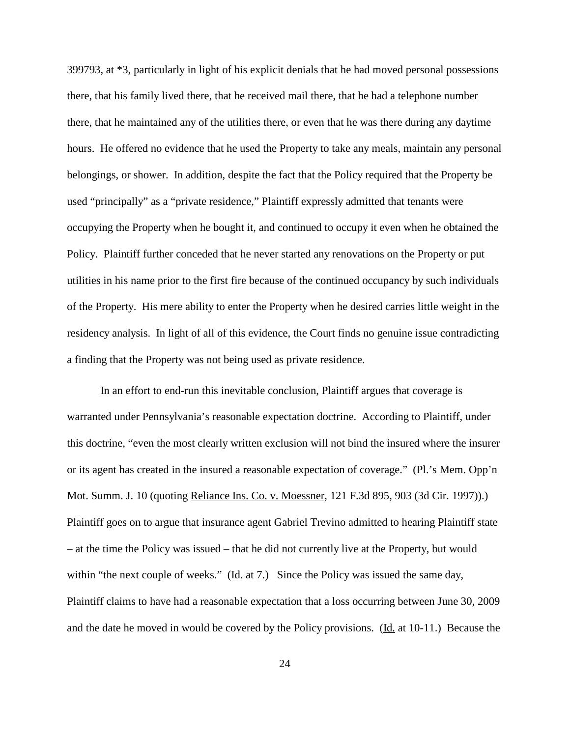399793, at \*3, particularly in light of his explicit denials that he had moved personal possessions there, that his family lived there, that he received mail there, that he had a telephone number there, that he maintained any of the utilities there, or even that he was there during any daytime hours. He offered no evidence that he used the Property to take any meals, maintain any personal belongings, or shower. In addition, despite the fact that the Policy required that the Property be used "principally" as a "private residence," Plaintiff expressly admitted that tenants were occupying the Property when he bought it, and continued to occupy it even when he obtained the Policy. Plaintiff further conceded that he never started any renovations on the Property or put utilities in his name prior to the first fire because of the continued occupancy by such individuals of the Property. His mere ability to enter the Property when he desired carries little weight in the residency analysis. In light of all of this evidence, the Court finds no genuine issue contradicting a finding that the Property was not being used as private residence.

In an effort to end-run this inevitable conclusion, Plaintiff argues that coverage is warranted under Pennsylvania's reasonable expectation doctrine. According to Plaintiff, under this doctrine, "even the most clearly written exclusion will not bind the insured where the insurer or its agent has created in the insured a reasonable expectation of coverage." (Pl.'s Mem. Opp'n Mot. Summ. J. 10 (quoting Reliance Ins. Co. v. Moessner, 121 F.3d 895, 903 (3d Cir. 1997)).) Plaintiff goes on to argue that insurance agent Gabriel Trevino admitted to hearing Plaintiff state – at the time the Policy was issued – that he did not currently live at the Property, but would within "the next couple of weeks." ( $\underline{Id}$ , at 7.) Since the Policy was issued the same day, Plaintiff claims to have had a reasonable expectation that a loss occurring between June 30, 2009 and the date he moved in would be covered by the Policy provisions. (Id. at 10-11.) Because the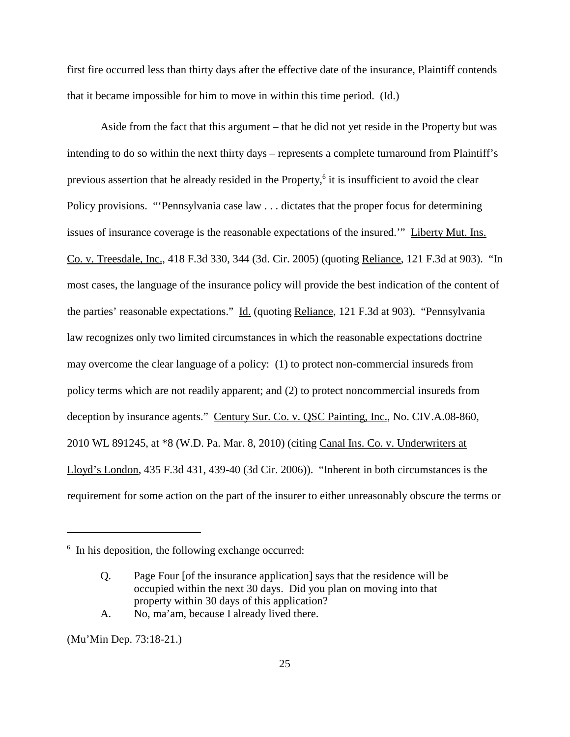first fire occurred less than thirty days after the effective date of the insurance, Plaintiff contends that it became impossible for him to move in within this time period.  $(\underline{Id})$ 

Aside from the fact that this argument – that he did not yet reside in the Property but was intending to do so within the next thirty days – represents a complete turnaround from Plaintiff's previous assertion that he already resided in the Property, <sup>6</sup> it is insufficient to avoid the clear Policy provisions. "'Pennsylvania case law . . . dictates that the proper focus for determining issues of insurance coverage is the reasonable expectations of the insured.'" Liberty Mut. Ins. Co. v. Treesdale, Inc., 418 F.3d 330, 344 (3d. Cir. 2005) (quoting Reliance, 121 F.3d at 903). "In most cases, the language of the insurance policy will provide the best indication of the content of the parties' reasonable expectations." Id. (quoting Reliance, 121 F.3d at 903). "Pennsylvania law recognizes only two limited circumstances in which the reasonable expectations doctrine may overcome the clear language of a policy: (1) to protect non-commercial insureds from policy terms which are not readily apparent; and (2) to protect noncommercial insureds from deception by insurance agents." Century Sur. Co. v. QSC Painting, Inc., No. CIV.A.08-860, 2010 WL 891245, at \*8 (W.D. Pa. Mar. 8, 2010) (citing Canal Ins. Co. v. Underwriters at Lloyd's London, 435 F.3d 431, 439-40 (3d Cir. 2006)). "Inherent in both circumstances is the requirement for some action on the part of the insurer to either unreasonably obscure the terms or

A. No, ma'am, because I already lived there.

(Mu'Min Dep. 73:18-21.)

<sup>&</sup>lt;sup>6</sup> In his deposition, the following exchange occurred:

Q. Page Four [of the insurance application] says that the residence will be occupied within the next 30 days. Did you plan on moving into that property within 30 days of this application?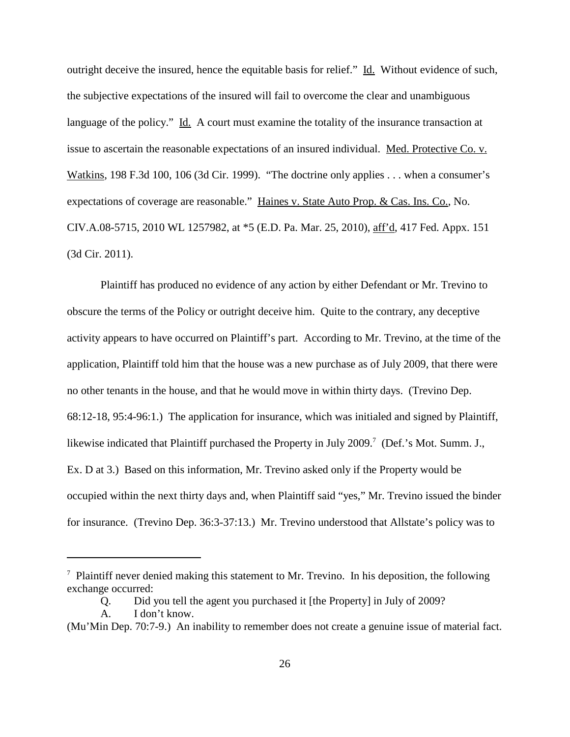outright deceive the insured, hence the equitable basis for relief." Id. Without evidence of such, the subjective expectations of the insured will fail to overcome the clear and unambiguous language of the policy." Id. A court must examine the totality of the insurance transaction at issue to ascertain the reasonable expectations of an insured individual. Med. Protective Co. v. Watkins, 198 F.3d 100, 106 (3d Cir. 1999). "The doctrine only applies . . . when a consumer's expectations of coverage are reasonable." Haines v. State Auto Prop. & Cas. Ins. Co., No. CIV.A.08-5715, 2010 WL 1257982, at \*5 (E.D. Pa. Mar. 25, 2010), aff'd, 417 Fed. Appx. 151 (3d Cir. 2011).

Plaintiff has produced no evidence of any action by either Defendant or Mr. Trevino to obscure the terms of the Policy or outright deceive him. Quite to the contrary, any deceptive activity appears to have occurred on Plaintiff's part. According to Mr. Trevino, at the time of the application, Plaintiff told him that the house was a new purchase as of July 2009, that there were no other tenants in the house, and that he would move in within thirty days. (Trevino Dep. 68:12-18, 95:4-96:1.) The application for insurance, which was initialed and signed by Plaintiff, likewise indicated that Plaintiff purchased the Property in July 2009.<sup>7</sup> (Def.'s Mot. Summ. J., Ex. D at 3.) Based on this information, Mr. Trevino asked only if the Property would be occupied within the next thirty days and, when Plaintiff said "yes," Mr. Trevino issued the binder for insurance. (Trevino Dep. 36:3-37:13.) Mr. Trevino understood that Allstate's policy was to

 $<sup>7</sup>$  Plaintiff never denied making this statement to Mr. Trevino. In his deposition, the following</sup> exchange occurred:

Q. Did you tell the agent you purchased it [the Property] in July of 2009?

A. I don't know.

<sup>(</sup>Mu'Min Dep. 70:7-9.) An inability to remember does not create a genuine issue of material fact.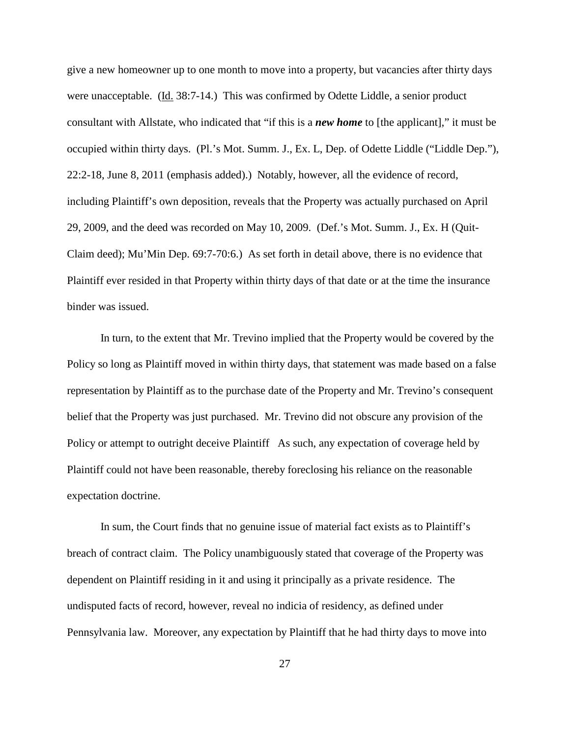give a new homeowner up to one month to move into a property, but vacancies after thirty days were unacceptable. (Id. 38:7-14.) This was confirmed by Odette Liddle, a senior product consultant with Allstate, who indicated that "if this is a *new home* to [the applicant]," it must be occupied within thirty days. (Pl.'s Mot. Summ. J., Ex. L, Dep. of Odette Liddle ("Liddle Dep."), 22:2-18, June 8, 2011 (emphasis added).) Notably, however, all the evidence of record, including Plaintiff's own deposition, reveals that the Property was actually purchased on April 29, 2009, and the deed was recorded on May 10, 2009. (Def.'s Mot. Summ. J., Ex. H (Quit-Claim deed); Mu'Min Dep. 69:7-70:6.) As set forth in detail above, there is no evidence that Plaintiff ever resided in that Property within thirty days of that date or at the time the insurance binder was issued.

In turn, to the extent that Mr. Trevino implied that the Property would be covered by the Policy so long as Plaintiff moved in within thirty days, that statement was made based on a false representation by Plaintiff as to the purchase date of the Property and Mr. Trevino's consequent belief that the Property was just purchased. Mr. Trevino did not obscure any provision of the Policy or attempt to outright deceive Plaintiff As such, any expectation of coverage held by Plaintiff could not have been reasonable, thereby foreclosing his reliance on the reasonable expectation doctrine.

In sum, the Court finds that no genuine issue of material fact exists as to Plaintiff's breach of contract claim. The Policy unambiguously stated that coverage of the Property was dependent on Plaintiff residing in it and using it principally as a private residence. The undisputed facts of record, however, reveal no indicia of residency, as defined under Pennsylvania law. Moreover, any expectation by Plaintiff that he had thirty days to move into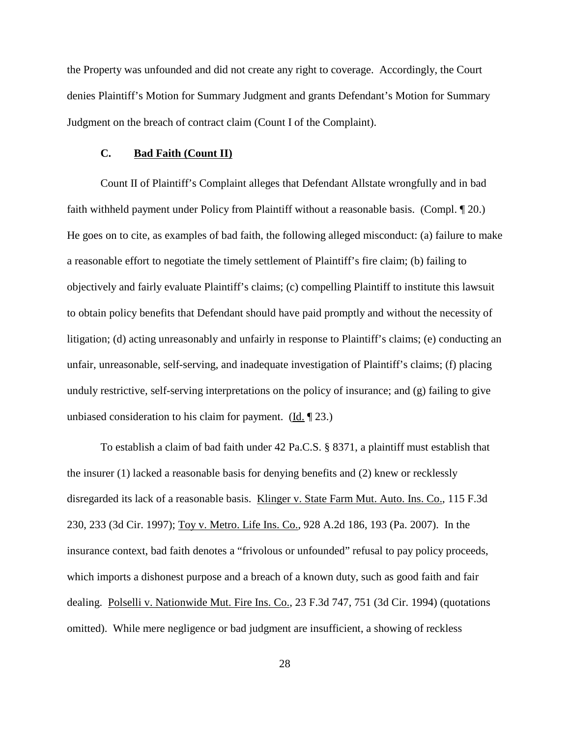the Property was unfounded and did not create any right to coverage. Accordingly, the Court denies Plaintiff's Motion for Summary Judgment and grants Defendant's Motion for Summary Judgment on the breach of contract claim (Count I of the Complaint).

## **C. Bad Faith (Count II)**

Count II of Plaintiff's Complaint alleges that Defendant Allstate wrongfully and in bad faith withheld payment under Policy from Plaintiff without a reasonable basis. (Compl. ¶ 20.) He goes on to cite, as examples of bad faith, the following alleged misconduct: (a) failure to make a reasonable effort to negotiate the timely settlement of Plaintiff's fire claim; (b) failing to objectively and fairly evaluate Plaintiff's claims; (c) compelling Plaintiff to institute this lawsuit to obtain policy benefits that Defendant should have paid promptly and without the necessity of litigation; (d) acting unreasonably and unfairly in response to Plaintiff's claims; (e) conducting an unfair, unreasonable, self-serving, and inadequate investigation of Plaintiff's claims; (f) placing unduly restrictive, self-serving interpretations on the policy of insurance; and (g) failing to give unbiased consideration to his claim for payment. ( $\underline{Id}$ ,  $\P$  23.)

To establish a claim of bad faith under 42 Pa.C.S. § 8371, a plaintiff must establish that the insurer (1) lacked a reasonable basis for denying benefits and (2) knew or recklessly disregarded its lack of a reasonable basis. Klinger v. State Farm Mut. Auto. Ins. Co., 115 F.3d 230, 233 (3d Cir. 1997); Toy v. Metro. Life Ins. Co., 928 A.2d 186, 193 (Pa. 2007). In the insurance context, bad faith denotes a "frivolous or unfounded" refusal to pay policy proceeds, which imports a dishonest purpose and a breach of a known duty, such as good faith and fair dealing. Polselli v. Nationwide Mut. Fire Ins. Co., 23 F.3d 747, 751 (3d Cir. 1994) (quotations omitted). While mere negligence or bad judgment are insufficient, a showing of reckless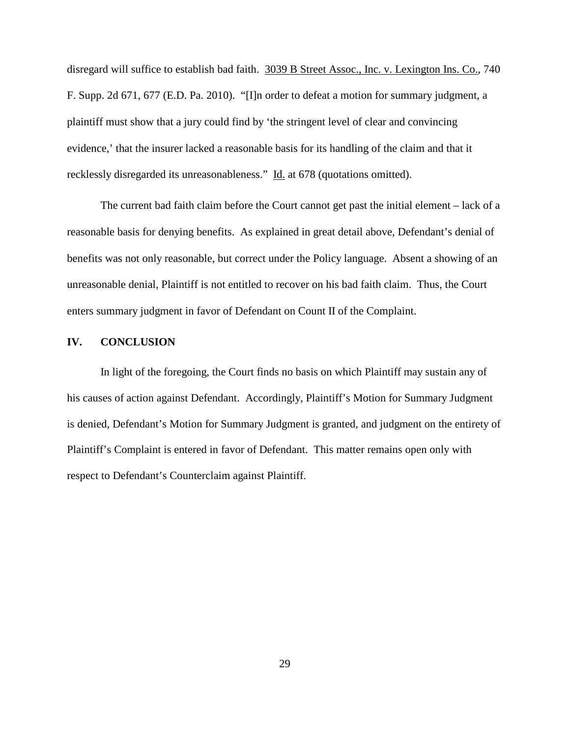disregard will suffice to establish bad faith. 3039 B Street Assoc., Inc. v. Lexington Ins. Co., 740 F. Supp. 2d 671, 677 (E.D. Pa. 2010). "[I]n order to defeat a motion for summary judgment, a plaintiff must show that a jury could find by 'the stringent level of clear and convincing evidence,' that the insurer lacked a reasonable basis for its handling of the claim and that it recklessly disregarded its unreasonableness." Id. at 678 (quotations omitted).

The current bad faith claim before the Court cannot get past the initial element – lack of a reasonable basis for denying benefits. As explained in great detail above, Defendant's denial of benefits was not only reasonable, but correct under the Policy language. Absent a showing of an unreasonable denial, Plaintiff is not entitled to recover on his bad faith claim. Thus, the Court enters summary judgment in favor of Defendant on Count II of the Complaint.

### **IV. CONCLUSION**

In light of the foregoing, the Court finds no basis on which Plaintiff may sustain any of his causes of action against Defendant. Accordingly, Plaintiff's Motion for Summary Judgment is denied, Defendant's Motion for Summary Judgment is granted, and judgment on the entirety of Plaintiff's Complaint is entered in favor of Defendant. This matter remains open only with respect to Defendant's Counterclaim against Plaintiff.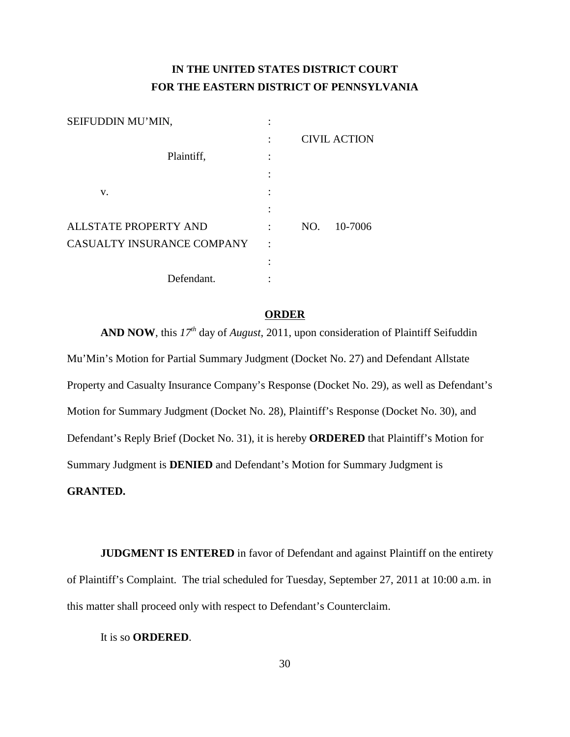# **IN THE UNITED STATES DISTRICT COURT FOR THE EASTERN DISTRICT OF PENNSYLVANIA**

| SEIFUDDIN MU'MIN,            |                      |     |                     |
|------------------------------|----------------------|-----|---------------------|
|                              |                      |     | <b>CIVIL ACTION</b> |
| Plaintiff,                   |                      |     |                     |
|                              |                      |     |                     |
| V.                           |                      |     |                     |
|                              |                      |     |                     |
| <b>ALLSTATE PROPERTY AND</b> |                      | NO. | 10-7006             |
| CASUALTY INSURANCE COMPANY   | $\ddot{\phantom{0}}$ |     |                     |
|                              |                      |     |                     |
| Defendant.                   |                      |     |                     |

## **ORDER**

AND NOW, this  $17<sup>th</sup>$  day of *August*, 2011, upon consideration of Plaintiff Seifuddin Mu'Min's Motion for Partial Summary Judgment (Docket No. 27) and Defendant Allstate Property and Casualty Insurance Company's Response (Docket No. 29), as well as Defendant's Motion for Summary Judgment (Docket No. 28), Plaintiff's Response (Docket No. 30), and Defendant's Reply Brief (Docket No. 31), it is hereby **ORDERED** that Plaintiff's Motion for Summary Judgment is **DENIED** and Defendant's Motion for Summary Judgment is **GRANTED.**

**JUDGMENT IS ENTERED** in favor of Defendant and against Plaintiff on the entirety of Plaintiff's Complaint. The trial scheduled for Tuesday, September 27, 2011 at 10:00 a.m. in this matter shall proceed only with respect to Defendant's Counterclaim.

It is so **ORDERED**.